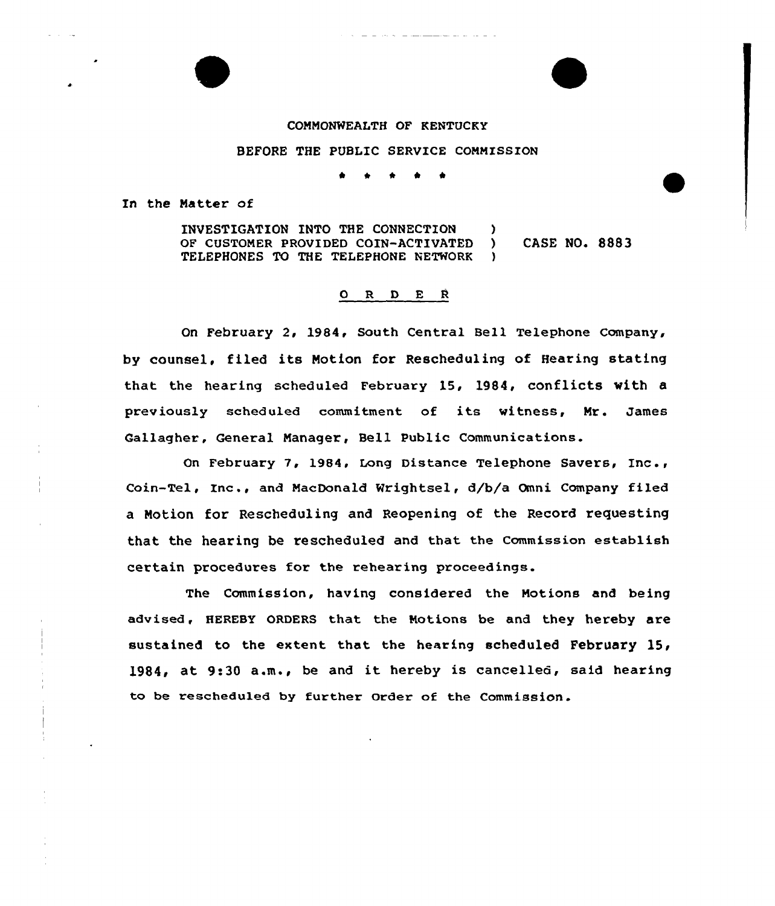## COMMONWEALTH OF KENTUCKY

## BEFORE THE PUBLIC SERVICE COMMISSION

\* \* \*

In the Matter of

INVESTIGATION INTO THE CONNECTION )<br>OF CUSTOMER PROVIDED COIN-ACTIVATED ) OF CUSTOMER PROVIDED COIN-ACTIVATED ) CASE NO. 8883 TELEPHONES TO THE TELEPHONE NETWORK

## $O$  R  $D$  E R

On February 2, 1984, South Central Bell Telephone Company, by counsel, filed its Motion for Rescheduling of Bearing stating that the hearing scheduled February 15, 1984, conflicts with a previously scheduled commitment of its witness, Mr. James Gallagher, General Managex', Bell Public Communications.

On Februaxy 7, 1984, Long Distance Telephone Savers, Inc., Coin-Tel, Inc., and MacDonald Nr ightsel, d/b/a Omni Company filed a Motion for Rescheduling and Reopening of the Record requesting that the hearing be rescheduled and that the Commission establish cextain proceduxes for the rehearing proceedings.

The Commission, having considered the Motions and being advised, HEREBY oRDERS that the Motions be and they hereby are sustained to the extent that the hearing scheduled February 15, 1984, at 9:30 a.m., be and it hereby is cancelled, said hearing to be rescheduled by further Order of the Commission.